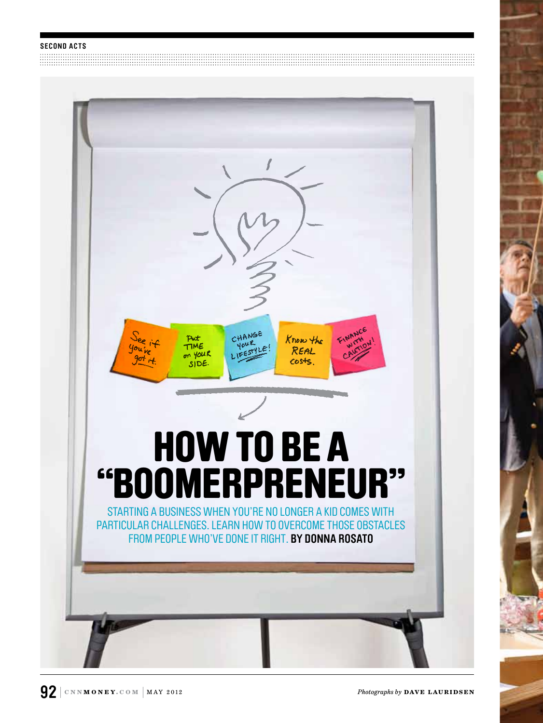<u> 1989 - Andrea Stadt British, Amerikaansk politiker (d. 1989)</u>



*Photographs by* **DAVE LAURIDSEN**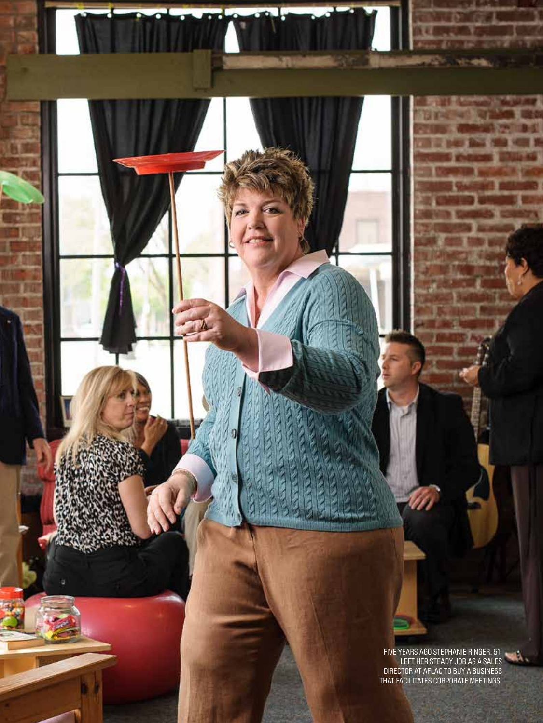five years ago Stephanie ringer, 51, left her steady job as a sales DIRECTOR AT AFLAC TO BUY A BUSINES that facilitates corporate meetings.

粗微血

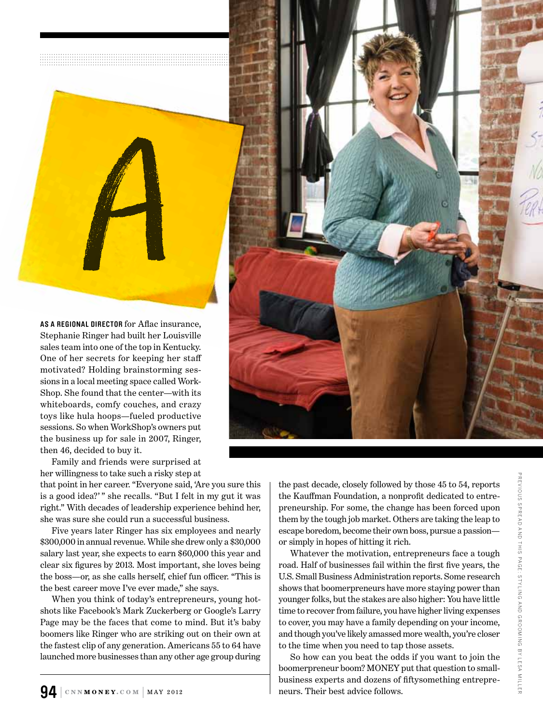

Stephanie Ringer had built her Louisville sales team into one of the top in Kentucky. One of her secrets for keeping her staff motivated? Holding brainstorming sessions in a local meeting space called Work-Shop. She found that the center—with its whiteboards, comfy couches, and crazy toys like hula hoops—fueled productive sessions. So when WorkShop's owners put the business up for sale in 2007, Ringer, then 46, decided to buy it.

Family and friends were surprised at her willingness to take such a risky step at

that point in her career. "Everyone said, 'Are you sure this is a good idea?' " she recalls. "But I felt in my gut it was right." With decades of leadership experience behind her, she was sure she could run a successful business.

Five years later Ringer has six employees and nearly \$300,000 in annual revenue. While she drew only a \$30,000 salary last year, she expects to earn \$60,000 this year and clear six figures by 2013. Most important, she loves being the boss—or, as she calls herself, chief fun officer. "This is the best career move I've ever made," she says.

When you think of today's entrepreneurs, young hotshots like Facebook's Mark Zuckerberg or Google's Larry Page may be the faces that come to mind. But it's baby boomers like Ringer who are striking out on their own at the fastest clip of any generation. Americans 55 to 64 have launched more businesses than any other age group during the past decade, closely followed by those 45 to 54, reports the Kauffman Foundation, a nonprofit dedicated to entrepreneurship. For some, the change has been forced upon them by the tough job market. Others are taking the leap to escape boredom, become their own boss, pursue a passion or simply in hopes of hitting it rich.

Whatever the motivation, entrepreneurs face a tough road. Half of businesses fail within the first five years, the U.S. Small Business Administration reports. Some research shows that boomerpreneurs have more staying power than younger folks, but the stakes are also higher: You have little time to recover from failure, you have higher living expenses to cover, you may have a family depending on your income, and though you've likely amassed more wealth, you're closer to the time when you need to tap those assets.

So how can you beat the odds if you want to join the boomerpreneur boom? MONEY put that question to smallbusiness experts and dozens of fiftysomething entrepreneurs. Their best advice follows.

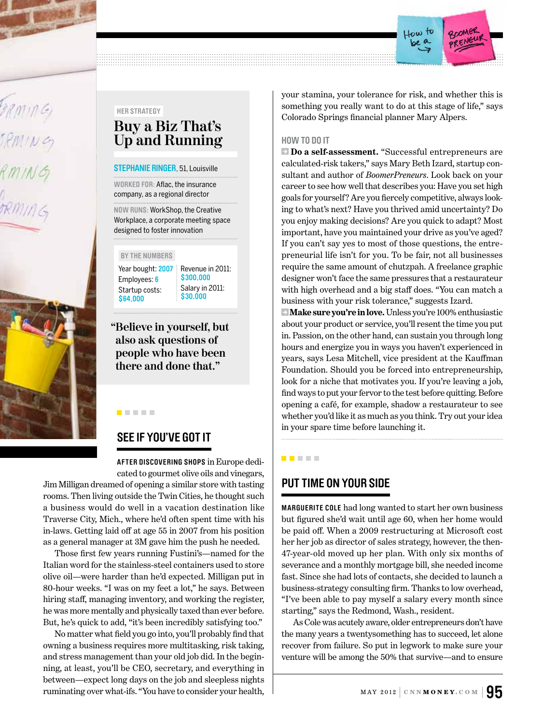

#### **Her strategy**

# **Buy a Biz That's Up and Running**

#### **STEPHANIE RINGER, 51, Louisville**

**Worked for:** Aflac, the insurance company, as a regional director

**Now runs:** WorkShop, the Creative Workplace, a corporate meeting space designed to foster innovation

#### **By the numbers**

Year bought: **2007** Employees: **6** Startup costs: **\$64,000**

Revenue in 2011: **\$300,000** Salary in 2011: **\$30,000**

**"Believe in yourself, but also ask questions of people who have been there and done that."**

## **See if you've got it**

. . . .

**After discovering shops** in Europe dedicated to gourmet olive oils and vinegars,

Jim Milligan dreamed of opening a similar store with tasting rooms. Then living outside the Twin Cities, he thought such a business would do well in a vacation destination like Traverse City, Mich., where he'd often spent time with his in-laws. Getting laid off at age 55 in 2007 from his position as a general manager at 3M gave him the push he needed.

Those first few years running Fustini's—named for the Italian word for the stainless-steel containers used to store olive oil—were harder than he'd expected. Milligan put in 80-hour weeks. "I was on my feet a lot," he says. Between hiring staff, managing inventory, and working the register, he was more mentally and physically taxed than ever before. But, he's quick to add, "it's been incredibly satisfying too."

No matter what field you go into, you'll probably find that owning a business requires more multitasking, risk taking, and stress management than your old job did. In the beginning, at least, you'll be CEO, secretary, and everything in between—expect long days on the job and sleepless nights ruminating over what-ifs. "You have to consider your health,

your stamina, your tolerance for risk, and whether this is something you really want to do at this stage of life," says Colorado Springs financial planner Mary Alpers.

fow to

ponee

#### **HOW TO DO IT**

**• Do a self-assessment.** "Successful entrepreneurs are calculated-risk takers," says Mary Beth Izard, startup consultant and author of *BoomerPreneurs*. Look back on your career to see how well that describes you: Have you set high goals for yourself? Are you fiercely competitive, always looking to what's next? Have you thrived amid uncertainty? Do you enjoy making decisions? Are you quick to adapt? Most important, have you maintained your drive as you've aged? If you can't say yes to most of those questions, the entrepreneurial life isn't for you. To be fair, not all businesses require the same amount of chutzpah. A freelance graphic designer won't face the same pressures that a restaurateur with high overhead and a big staff does. "You can match a business with your risk tolerance," suggests Izard.

 **Make sure you're in love.** Unless you're 100% enthusiastic about your product or service, you'll resent the time you put in. Passion, on the other hand, can sustain you through long hours and energize you in ways you haven't experienced in years, says Lesa Mitchell, vice president at the Kauffman Foundation. Should you be forced into entrepreneurship, look for a niche that motivates you. If you're leaving a job, find ways to put your fervor to the test before quitting. Before opening a café, for example, shadow a restaurateur to see whether you'd like it as much as you think. Try out your idea in your spare time before launching it.

#### **. . . . .**

## **Put time on your side**

**Marguerite Cole** had long wanted to start her own business but figured she'd wait until age 60, when her home would be paid off. When a 2009 restructuring at Microsoft cost her her job as director of sales strategy, however, the then-47-year-old moved up her plan. With only six months of severance and a monthly mortgage bill, she needed income fast. Since she had lots of contacts, she decided to launch a business-strategy consulting firm. Thanks to low overhead, "I've been able to pay myself a salary every month since starting," says the Redmond, Wash., resident.

As Cole was acutely aware, older entrepreneurs don't have the many years a twentysomething has to succeed, let alone recover from failure. So put in legwork to make sure your venture will be among the 50% that survive—and to ensure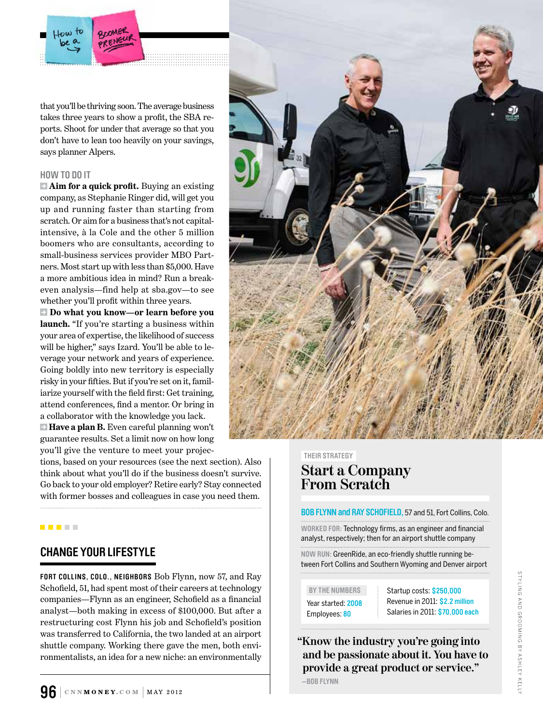that you'll be thriving soon. The average business takes three years to show a profit, the SBA reports. Shoot for under that average so that you don't have to lean too heavily on your savings, says planner Alpers.

#### **HOW TO DO IT**

**Aim for a quick profit.** Buying an existing company, as Stephanie Ringer did, will get you up and running faster than starting from scratch. Or aim for a business that's not capitalintensive, à la Cole and the other 5 million boomers who are consultants, according to small-business services provider MBO Partners. Most start up with less than \$5,000. Have a more ambitious idea in mind? Run a breakeven analysis—find help at sba.gov—to see whether you'll profit within three years.

 **Do what you know—or learn before you launch.** "If you're starting a business within your area of expertise, the likelihood of success will be higher," says Izard. You'll be able to leverage your network and years of experience. Going boldly into new territory is especially risky in your fifties. But if you're set on it, familiarize yourself with the field first: Get training, attend conferences, find a mentor. Or bring in a collaborator with the knowledge you lack.

**Have a plan B.** Even careful planning won't guarantee results. Set a limit now on how long you'll give the venture to meet your projec-

tions, based on your resources (see the next section). Also think about what you'll do if the business doesn't survive. Go back to your old employer? Retire early? Stay connected with former bosses and colleagues in case you need them.

. . . .

### **change Your Lifestyle**

**Fort collins, colo., Neighbors** Bob Flynn, now 57, and Ray Schofield, 51, had spent most of their careers at technology companies—Flynn as an engineer, Schofield as a financial analyst—both making in excess of \$100,000. But after a restructuring cost Flynn his job and Schofield's position was transferred to California, the two landed at an airport shuttle company. Working there gave the men, both environmentalists, an idea for a new niche: an environmentally



#### **Their strategy**

# **Start a Company From Scratch**

#### **Bob flynn and ray schofield,** 57 and 51, Fort Collins, Colo.

**Worked for:** Technology firms, as an engineer and financial analyst, respectively; then for an airport shuttle company

**Now run:** GreenRide, an eco-friendly shuttle running between Fort Collins and Southern Wyoming and Denver airport

Year started: **2008** Employees: **80**

BY THE NUMBERS **Startup costs: \$250,000** Revenue in 2011: **\$2.2 million** Salaries in 2011: **\$70,000 each**

**"Know the industry you're going into and be passionate about it. You have to provide a great product or service." —bob Flynn**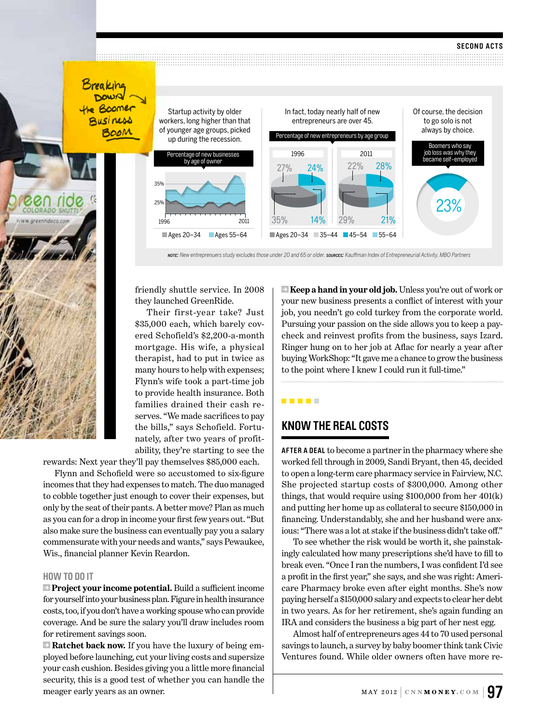Breaking DOWN **The Boomer** Business



friendly shuttle service. In 2008 they launched GreenRide.

Their first-year take? Just \$35,000 each, which barely covered Schofield's \$2,200-a-month mortgage. His wife, a physical therapist, had to put in twice as many hours to help with expenses; Flynn's wife took a part-time job to provide health insurance. Both families drained their cash reserves. "We made sacrifices to pay the bills," says Schofield. Fortunately, after two years of profitability, they're starting to see the

rewards: Next year they'll pay themselves \$85,000 each.

Flynn and Schofield were so accustomed to six-figure incomes that they had expenses to match. The duo managed to cobble together just enough to cover their expenses, but only by the seat of their pants. A better move? Plan as much as you can for a drop in income your first few years out. "But also make sure the business can eventually pay you a salary commensurate with your needs and wants," says Pewaukee, Wis., financial planner Kevin Reardon.

#### **HOW TO DO IT**

**Project your income potential.** Build a sufficient income for yourself into your business plan. Figure in health insurance costs, too, if you don't have a working spouse who can provide coverage. And be sure the salary you'll draw includes room for retirement savings soon.

**Ratchet back now.** If you have the luxury of being employed before launching, cut your living costs and supersize your cash cushion. Besides giving you a little more financial security, this is a good test of whether you can handle the meager early years as an owner.

 **Keep a hand in your old job.** Unless you're out of work or your new business presents a conflict of interest with your job, you needn't go cold turkey from the corporate world. Pursuing your passion on the side allows you to keep a paycheck and reinvest profits from the business, says Izard. Ringer hung on to her job at Aflac for nearly a year after buying WorkShop: "It gave me a chance to grow the business to the point where I knew I could run it full-time."

**. . . . .** 

## **know the real costs**

**After a deal** to become a partner in the pharmacy where she worked fell through in 2009, Sandi Bryant, then 45, decided to open a long-term care pharmacy service in Fairview, N.C. She projected startup costs of \$300,000. Among other things, that would require using \$100,000 from her 401(k) and putting her home up as collateral to secure \$150,000 in financing. Understandably, she and her husband were anxious: "There was a lot at stake if the business didn't take off."

To see whether the risk would be worth it, she painstakingly calculated how many prescriptions she'd have to fill to break even. "Once I ran the numbers, I was confident I'd see a profit in the first year," she says, and she was right: Americare Pharmacy broke even after eight months. She's now paying herself a \$150,000 salary and expects to clear her debt in two years. As for her retirement, she's again funding an IRA and considers the business a big part of her nest egg.

Almost half of entrepreneurs ages 44 to 70 used personal savings to launch, a survey by baby boomer think tank Civic Ventures found. While older owners often have more re-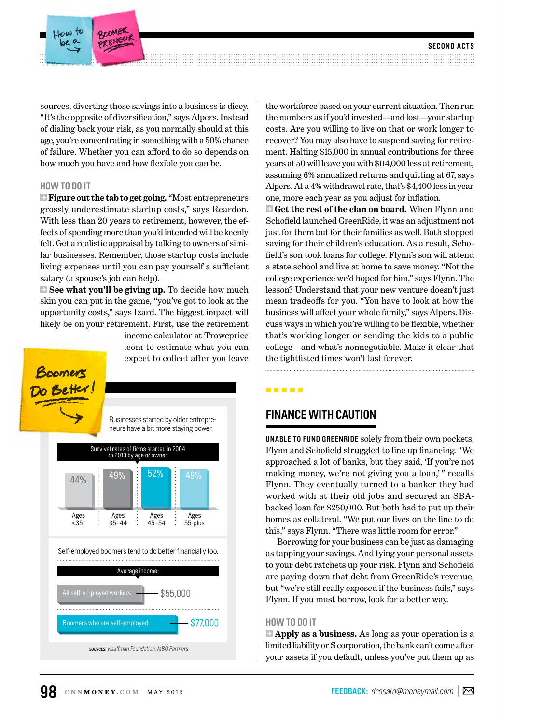sources, diverting those savings into a business is dicey. "It's the opposite of diversification," says Alpers. Instead of dialing back your risk, as you normally should at this age, you're concentrating in something with a 50% chance of failure. Whether you can afford to do so depends on how much you have and how flexible you can be.

COOMER

#### **HOW TO DO IT**

 **Figure out the tab to get going.** "Most entrepreneurs grossly underestimate startup costs," says Reardon. With less than 20 years to retirement, however, the effects of spending more than you'd intended will be keenly felt. Get a realistic appraisal by talking to owners of similar businesses. Remember, those startup costs include living expenses until you can pay yourself a sufficient salary (a spouse's job can help).

**See what you'll be giving up.** To decide how much skin you can put in the game, "you've got to look at the opportunity costs," says Izard. The biggest impact will likely be on your retirement. First, use the retirement

income calculator at Troweprice .com to estimate what you can expect to collect after you leave



the workforce based on your current situation. Then run the numbers as if you'd invested—and lost—your startup costs. Are you willing to live on that or work longer to recover? You may also have to suspend saving for retirement. Halting \$15,000 in annual contributions for three years at 50 will leave you with \$114,000 less at retirement, assuming 6% annualized returns and quitting at 67, says Alpers. At a 4% withdrawal rate, that's \$4,400 less in year one, more each year as you adjust for inflation.

 **Get the rest of the clan on board.** When Flynn and Schofield launched GreenRide, it was an adjustment not just for them but for their families as well. Both stopped saving for their children's education. As a result, Schofield's son took loans for college. Flynn's son will attend a state school and live at home to save money. "Not the college experience we'd hoped for him," says Flynn. The lesson? Understand that your new venture doesn't just mean tradeoffs for you. "You have to look at how the business will affect your whole family," says Alpers. Discuss ways in which you're willing to be flexible, whether that's working longer or sending the kids to a public college—and what's nonnegotiable. Make it clear that the tightfisted times won't last forever.

#### . . . . .

### **Finance with caution**

**unable to fund greenride** solely from their own pockets, Flynn and Schofield struggled to line up financing. "We approached a lot of banks, but they said, 'If you're not making money, we're not giving you a loan,'" recalls Flynn. They eventually turned to a banker they had worked with at their old jobs and secured an SBAbacked loan for \$250,000. But both had to put up their homes as collateral. "We put our lives on the line to do this," says Flynn. "There was little room for error."

Borrowing for your business can be just as damaging as tapping your savings. And tying your personal assets to your debt ratchets up your risk. Flynn and Schofield are paying down that debt from GreenRide's revenue, but "we're still really exposed if the business fails," says Flynn. If you must borrow, look for a better way.

#### **HOW TO DO IT**

 **Apply as a business.** As long as your operation is a limited liability or S corporation, the bank can't come after your assets if you default, unless you've put them up as